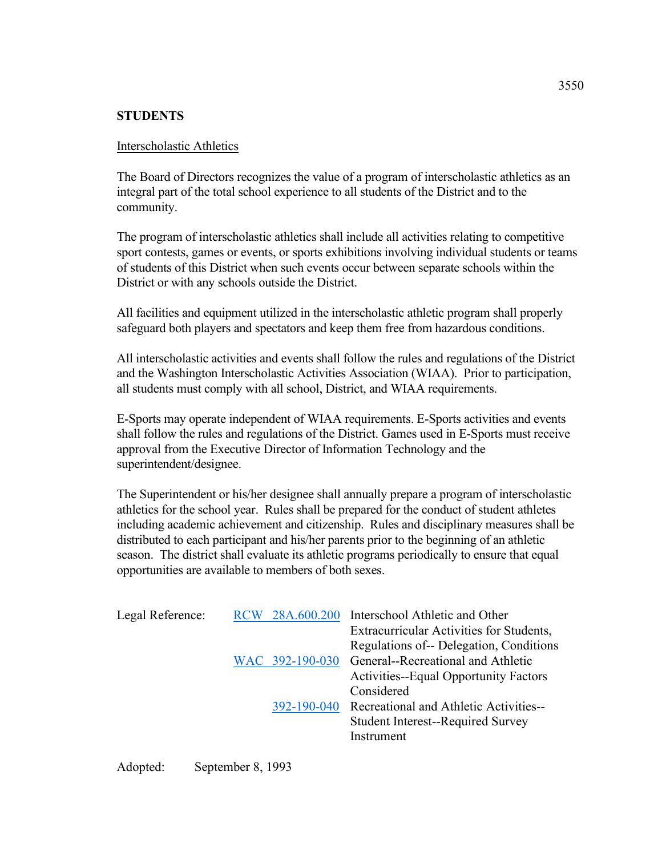## **STUDENTS**

## Interscholastic Athletics

The Board of Directors recognizes the value of a program of interscholastic athletics as an integral part of the total school experience to all students of the District and to the community.

The program of interscholastic athletics shall include all activities relating to competitive sport contests, games or events, or sports exhibitions involving individual students or teams of students of this District when such events occur between separate schools within the District or with any schools outside the District.

All facilities and equipment utilized in the interscholastic athletic program shall properly safeguard both players and spectators and keep them free from hazardous conditions.

All interscholastic activities and events shall follow the rules and regulations of the District and the Washington Interscholastic Activities Association (WIAA). Prior to participation, all students must comply with all school, District, and WIAA requirements.

E-Sports may operate independent of WIAA requirements. E-Sports activities and events shall follow the rules and regulations of the District. Games used in E-Sports must receive approval from the Executive Director of Information Technology and the superintendent/designee.

The Superintendent or his/her designee shall annually prepare a program of interscholastic athletics for the school year. Rules shall be prepared for the conduct of student athletes including academic achievement and citizenship. Rules and disciplinary measures shall be distributed to each participant and his/her parents prior to the beginning of an athletic season. The district shall evaluate its athletic programs periodically to ensure that equal opportunities are available to members of both sexes.

| Legal Reference: |  | RCW 28A.600.200 | Interschool Athletic and Other                     |
|------------------|--|-----------------|----------------------------------------------------|
|                  |  |                 | Extracurricular Activities for Students,           |
|                  |  |                 | Regulations of-- Delegation, Conditions            |
|                  |  |                 | WAC 392-190-030 General--Recreational and Athletic |
|                  |  |                 | <b>Activities--Equal Opportunity Factors</b>       |
|                  |  |                 | Considered                                         |
|                  |  | 392-190-040     | Recreational and Athletic Activities--             |
|                  |  |                 | <b>Student Interest--Required Survey</b>           |
|                  |  |                 | Instrument                                         |
|                  |  |                 |                                                    |

Adopted: September 8, 1993